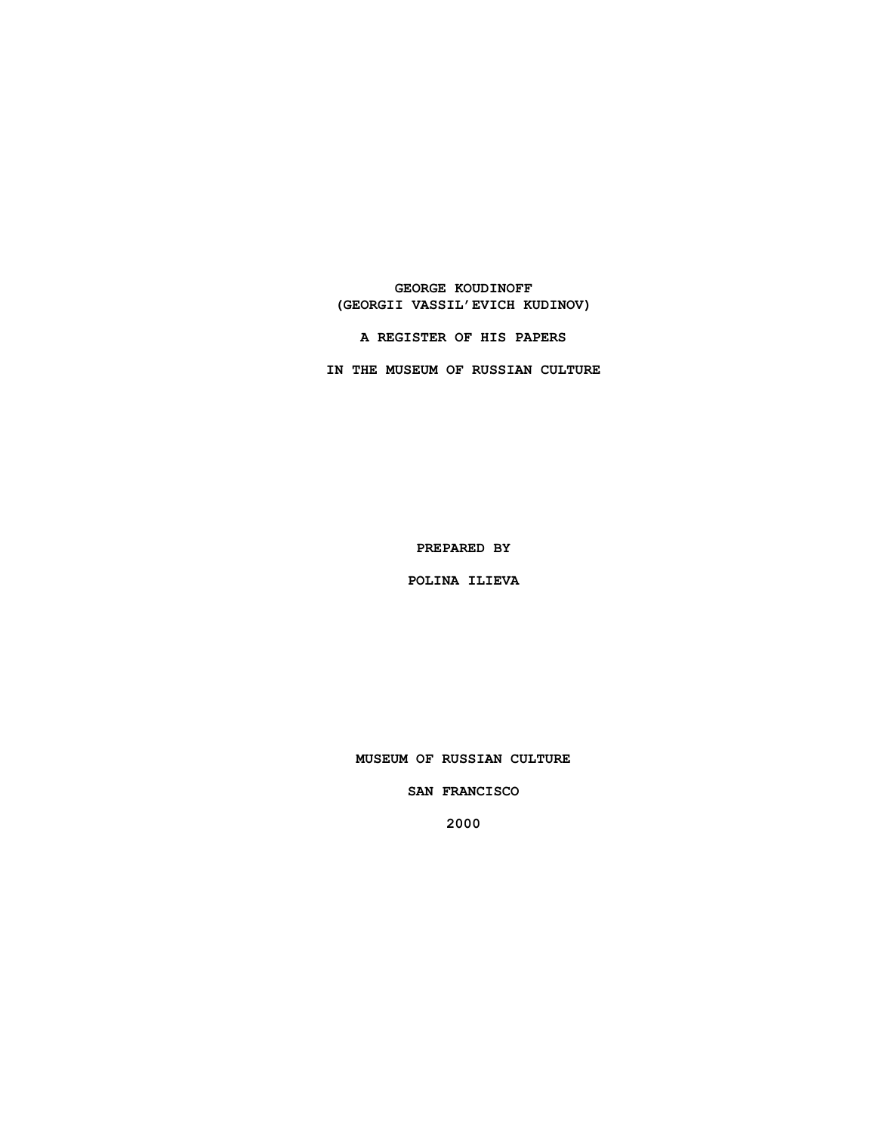**GEORGE KOUDINOFF (GEORGII VASSIL'EVICH KUDINOV)**

**A REGISTER OF HIS PAPERS**

**IN THE MUSEUM OF RUSSIAN CULTURE**

**PREPARED BY**

**POLINA ILIEVA**

**MUSEUM OF RUSSIAN CULTURE**

**SAN FRANCISCO**

**2000**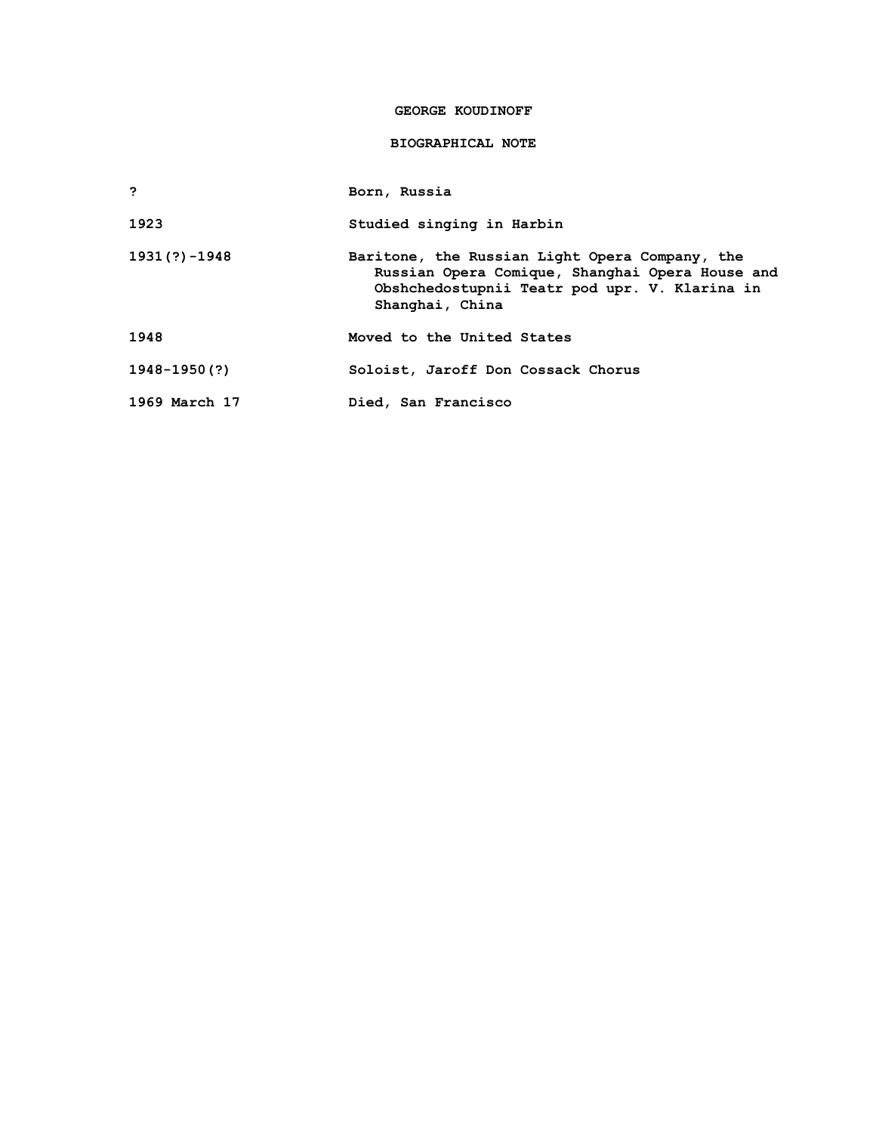### **GEORGE KOUDINOFF**

## **BIOGRAPHICAL NOTE**

**? Born, Russia**

**1923 Studied singing in Harbin** 

**1931(?)-1948 Baritone, the Russian Light Opera Company, the Russian Opera Comique, Shanghai Opera House and Obshchedostupnii Teatr pod upr. V. Klarina in Shanghai, China**

**1948 Moved to the United States**

**1948-1950(?) Soloist, Jaroff Don Cossack Chorus**

**1969 March 17 Died, San Francisco**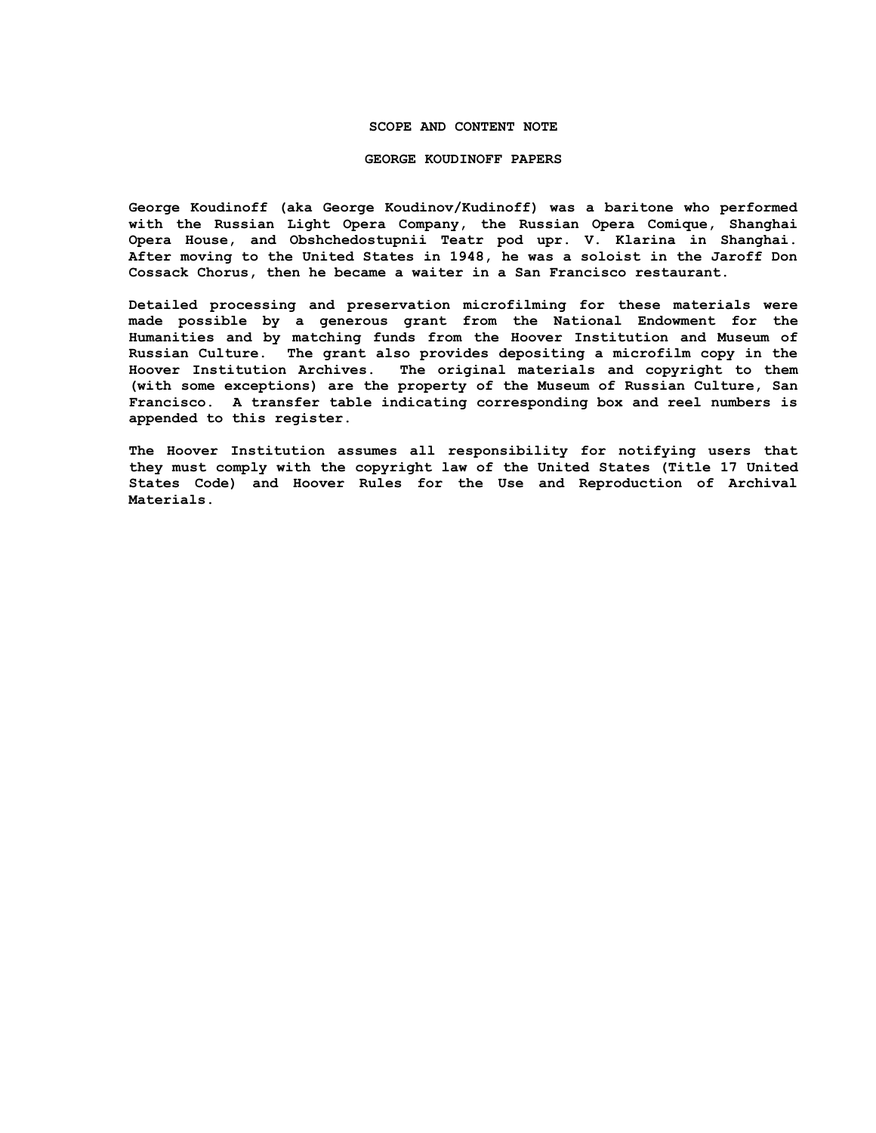## **SCOPE AND CONTENT NOTE**

#### **GEORGE KOUDINOFF PAPERS**

**George Koudinoff (aka George Koudinov/Kudinoff) was a baritone who performed with the Russian Light Opera Company, the Russian Opera Comique, Shanghai Opera House, and Obshchedostupnii Teatr pod upr. V. Klarina in Shanghai. After moving to the United States in 1948, he was a soloist in the Jaroff Don Cossack Chorus, then he became a waiter in a San Francisco restaurant.** 

**Detailed processing and preservation microfilming for these materials were made possible by a generous grant from the National Endowment for the Humanities and by matching funds from the Hoover Institution and Museum of Russian Culture. The grant also provides depositing a microfilm copy in the Hoover Institution Archives. The original materials and copyright to them (with some exceptions) are the property of the Museum of Russian Culture, San Francisco. A transfer table indicating corresponding box and reel numbers is appended to this register.**

**The Hoover Institution assumes all responsibility for notifying users that they must comply with the copyright law of the United States (Title 17 United States Code) and Hoover Rules for the Use and Reproduction of Archival Materials.**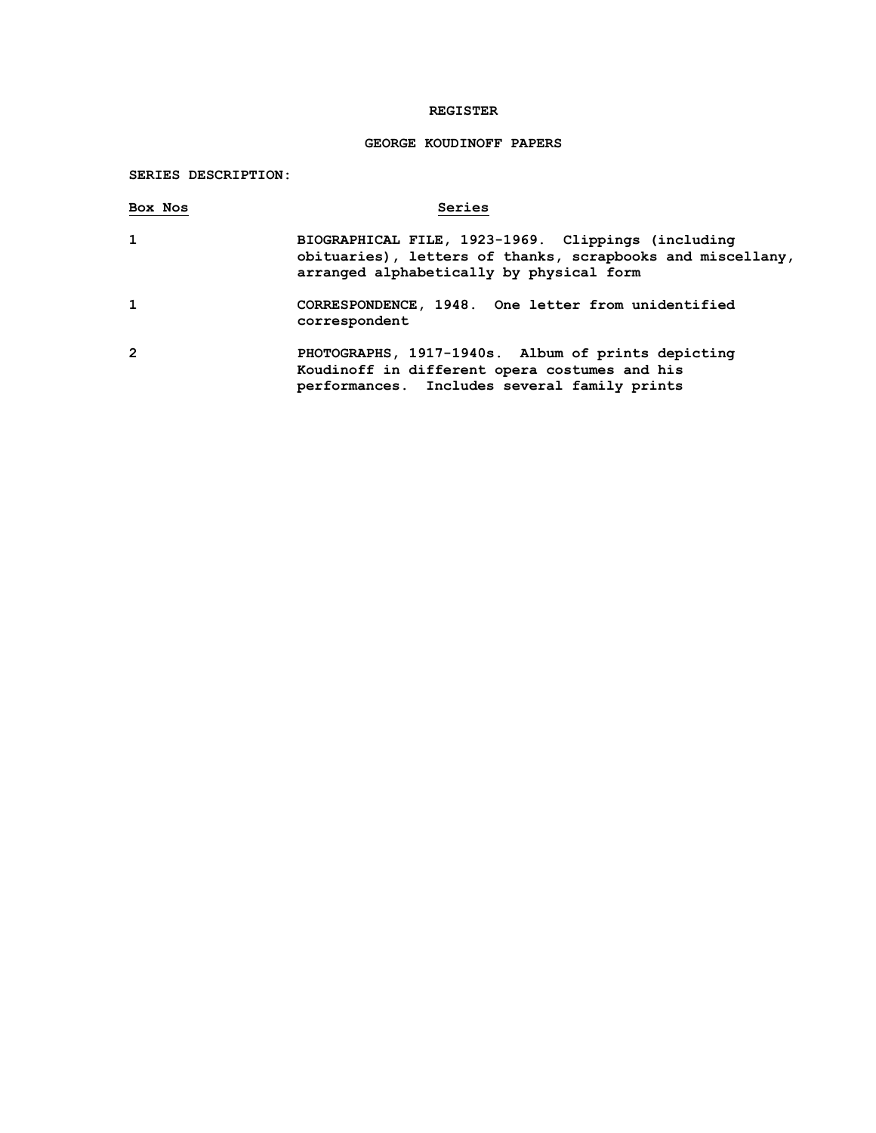## **REGISTER**

# **GEORGE KOUDINOFF PAPERS**

# **SERIES DESCRIPTION:**

| Box Nos        | Series                                                                                                                                                       |
|----------------|--------------------------------------------------------------------------------------------------------------------------------------------------------------|
| 1              | BIOGRAPHICAL FILE, 1923-1969. Clippings (including<br>obituaries), letters of thanks, scrapbooks and miscellany,<br>arranged alphabetically by physical form |
| 1              | CORRESPONDENCE, 1948. One letter from unidentified<br>correspondent                                                                                          |
| $\overline{2}$ | PHOTOGRAPHS, 1917-1940s. Album of prints depicting<br>Koudinoff in different opera costumes and his<br>performances. Includes several family prints          |